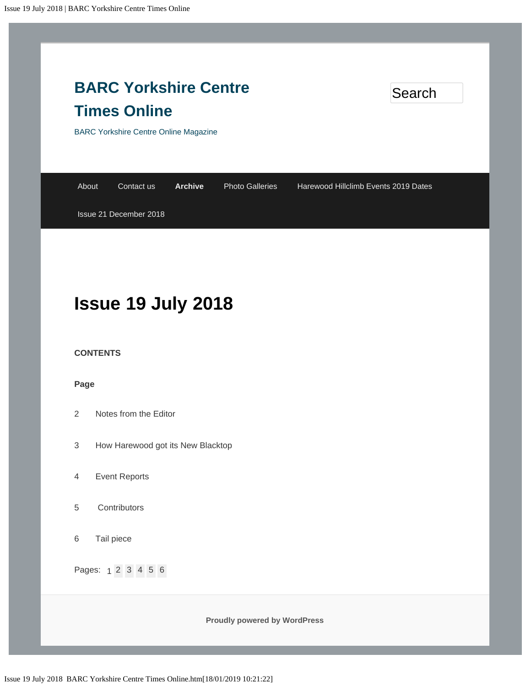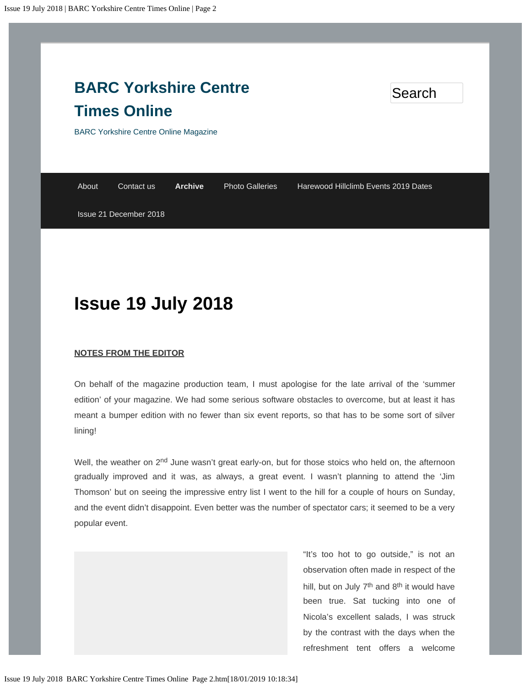## **[BARC Yorkshire Centre](http://barc-yorks.co.uk/) [Times Online](http://barc-yorks.co.uk/)**

Search

BARC Yorkshire Centre Online Magazine

[About](http://barc-yorks.co.uk/) [Contact us](http://barc-yorks.co.uk/?page_id=42) **[Archive](http://barc-yorks.co.uk/?page_id=233)** [Photo Galleries](http://barc-yorks.co.uk/?page_id=8045) [Harewood Hillclimb Events 2019 Dates](http://barc-yorks.co.uk/?page_id=8594) [Issue 21 December 2018](http://barc-yorks.co.uk/?page_id=8480)

## **Issue 19 July 2018**

#### **NOTES FROM THE EDITOR**

On behalf of the magazine production team, I must apologise for the late arrival of the 'summer edition' of your magazine. We had some serious software obstacles to overcome, but at least it has meant a bumper edition with no fewer than six event reports, so that has to be some sort of silver lining!

Well, the weather on 2<sup>nd</sup> June wasn't great early-on, but for those stoics who held on, the afternoon gradually improved and it was, as always, a great event. I wasn't planning to attend the 'Jim Thomson' but on seeing the impressive entry list I went to the hill for a couple of hours on Sunday, and the event didn't disappoint. Even better was the number of spectator cars; it seemed to be a very popular event.

> "It's too hot to go outside," is not an observation often made in respect of the hill, but on July 7<sup>th</sup> and 8<sup>th</sup> it would have been true. Sat tucking into one of Nicola's excellent salads, I was struck by the contrast with the days when the refreshment tent offers a welcome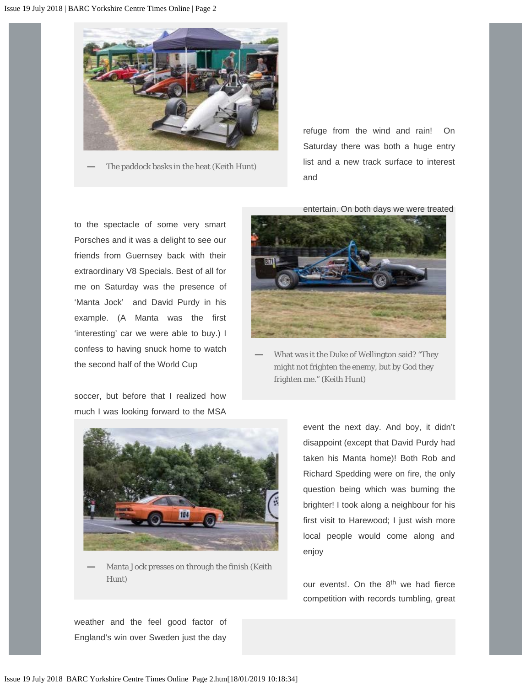

**—** The paddock basks in the heat (Keith Hunt)

refuge from the wind and rain! On Saturday there was both a huge entry list and a new track surface to interest and

entertain. On both days we were treated

to the spectacle of some very smart Porsches and it was a delight to see our friends from Guernsey back with their extraordinary V8 Specials. Best of all for me on Saturday was the presence of 'Manta Jock' and David Purdy in his example. (A Manta was the first 'interesting' car we were able to buy.) I confess to having snuck home to watch the second half of the World Cup

soccer, but before that I realized how much I was looking forward to the MSA



Manta Jock presses on through the finish (Keith Hunt) **—**

weather and the feel good factor of England's win over Sweden just the day



What was it the Duke of Wellington said? "They might not frighten the enemy, but by God they frighten me." (Keith Hunt)

**—**

event the next day. And boy, it didn't disappoint (except that David Purdy had taken his Manta home)! Both Rob and Richard Spedding were on fire, the only question being which was burning the brighter! I took along a neighbour for his first visit to Harewood; I just wish more local people would come along and enjoy

our events!. On the 8<sup>th</sup> we had fierce competition with records tumbling, great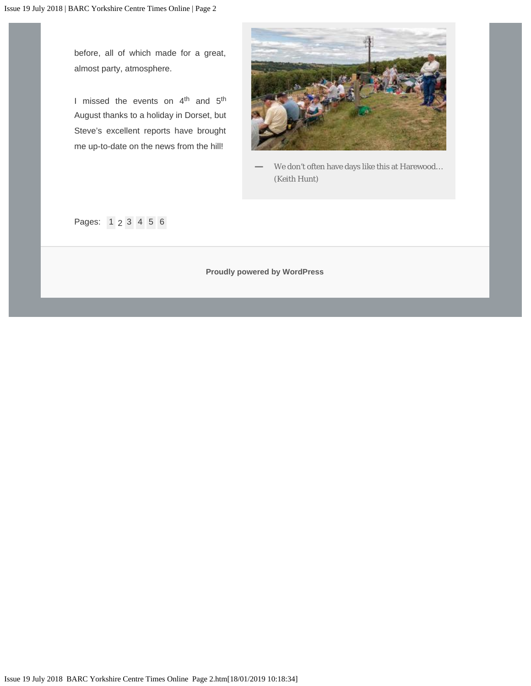before, all of which made for a great, almost party, atmosphere.

I missed the events on 4<sup>th</sup> and 5<sup>th</sup> August thanks to a holiday in Dorset, but Steve's excellent reports have brought me up-to-date on the news from the hill!



We don't often have days like this at Harewood… (Keith Hunt) **—**

Pages: [1](http://barc-yorks.co.uk/?page_id=8144) 2 [3](http://barc-yorks.co.uk/?page_id=8144&page=3) [4](http://barc-yorks.co.uk/?page_id=8144&page=4) [5](http://barc-yorks.co.uk/?page_id=8144&page=5) [6](http://barc-yorks.co.uk/?page_id=8144&page=6)

## **[Proudly powered by WordPress](http://wordpress.org/)**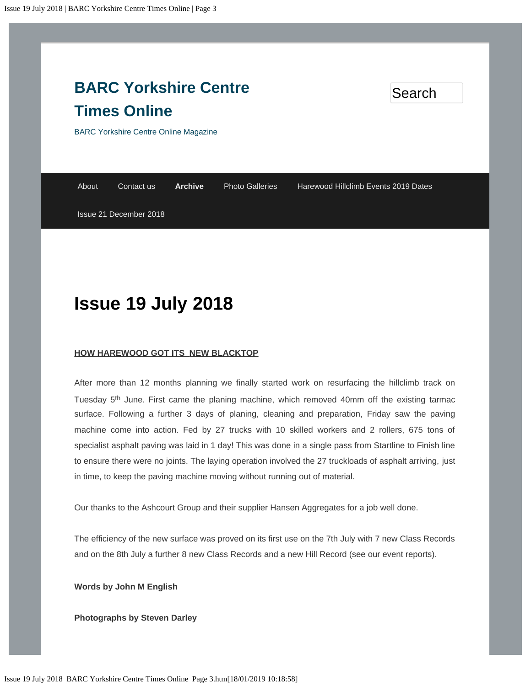## **[BARC Yorkshire Centre](http://barc-yorks.co.uk/) [Times Online](http://barc-yorks.co.uk/)**

Search

BARC Yorkshire Centre Online Magazine

[About](http://barc-yorks.co.uk/) [Contact us](http://barc-yorks.co.uk/?page_id=42) **[Archive](http://barc-yorks.co.uk/?page_id=233)** [Photo Galleries](http://barc-yorks.co.uk/?page_id=8045) [Harewood Hillclimb Events 2019 Dates](http://barc-yorks.co.uk/?page_id=8594) [Issue 21 December 2018](http://barc-yorks.co.uk/?page_id=8480)

# **Issue 19 July 2018**

#### **HOW HAREWOOD GOT ITS NEW BLACKTOP**

After more than 12 months planning we finally started work on resurfacing the hillclimb track on Tuesday 5<sup>th</sup> June. First came the planing machine, which removed 40mm off the existing tarmac surface. Following a further 3 days of planing, cleaning and preparation, Friday saw the paving machine come into action. Fed by 27 trucks with 10 skilled workers and 2 rollers, 675 tons of specialist asphalt paving was laid in 1 day! This was done in a single pass from Startline to Finish line to ensure there were no joints. The laying operation involved the 27 truckloads of asphalt arriving, just in time, to keep the paving machine moving without running out of material.

Our thanks to the Ashcourt Group and their supplier Hansen Aggregates for a job well done.

The efficiency of the new surface was proved on its first use on the 7th July with 7 new Class Records and on the 8th July a further 8 new Class Records and a new Hill Record (see our event reports).

**Words by John M English**

**Photographs by Steven Darley**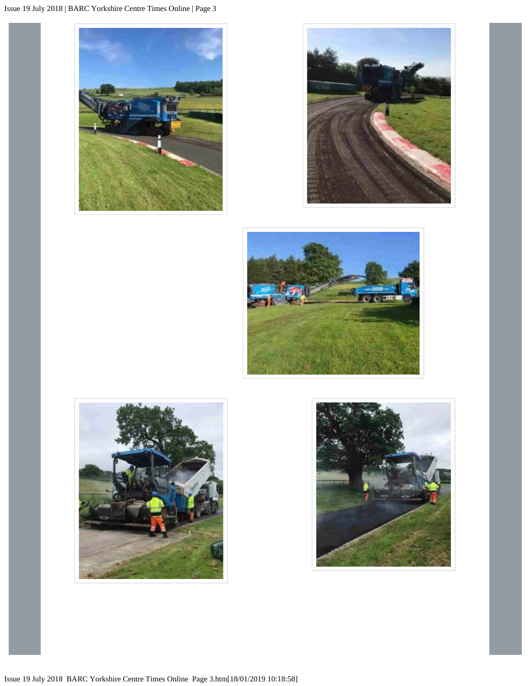Issue 19 July 2018 | BARC Yorkshire Centre Times Online | Page 3









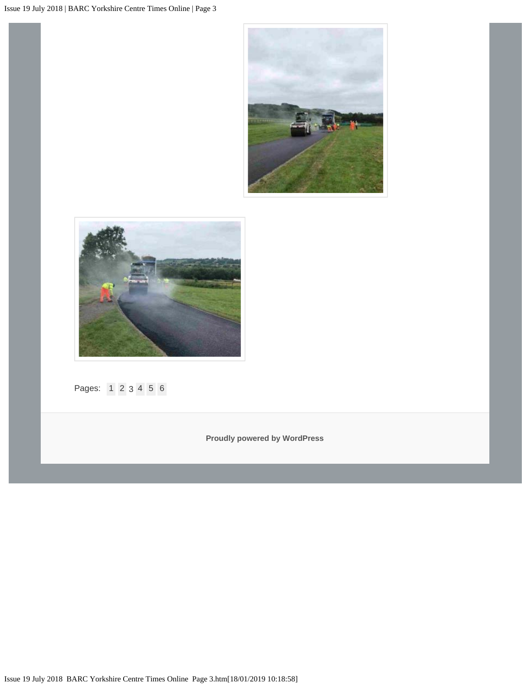



Pages: [1](http://barc-yorks.co.uk/?page_id=8144) [2](http://barc-yorks.co.uk/?page_id=8144&page=2) 3 [4](http://barc-yorks.co.uk/?page_id=8144&page=4) [5](http://barc-yorks.co.uk/?page_id=8144&page=5) [6](http://barc-yorks.co.uk/?page_id=8144&page=6)

**[Proudly powered by WordPress](http://wordpress.org/)**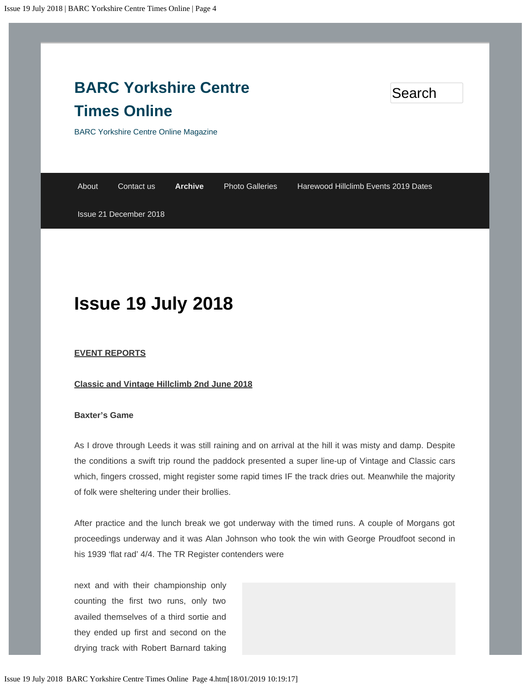

BARC Yorkshire Centre Online Magazine

[About](http://barc-yorks.co.uk/) [Contact us](http://barc-yorks.co.uk/?page_id=42) **[Archive](http://barc-yorks.co.uk/?page_id=233)** [Photo Galleries](http://barc-yorks.co.uk/?page_id=8045) [Harewood Hillclimb Events 2019 Dates](http://barc-yorks.co.uk/?page_id=8594) [Issue 21 December 2018](http://barc-yorks.co.uk/?page_id=8480)

Search

## **Issue 19 July 2018**

## **EVENT REPORTS**

#### **Classic and Vintage Hillclimb 2nd June 2018**

## **Baxter's Game**

As I drove through Leeds it was still raining and on arrival at the hill it was misty and damp. Despite the conditions a swift trip round the paddock presented a super line-up of Vintage and Classic cars which, fingers crossed, might register some rapid times IF the track dries out. Meanwhile the majority of folk were sheltering under their brollies.

After practice and the lunch break we got underway with the timed runs. A couple of Morgans got proceedings underway and it was Alan Johnson who took the win with George Proudfoot second in his 1939 'flat rad' 4/4. The TR Register contenders were

next and with their championship only counting the first two runs, only two availed themselves of a third sortie and they ended up first and second on the drying track with Robert Barnard taking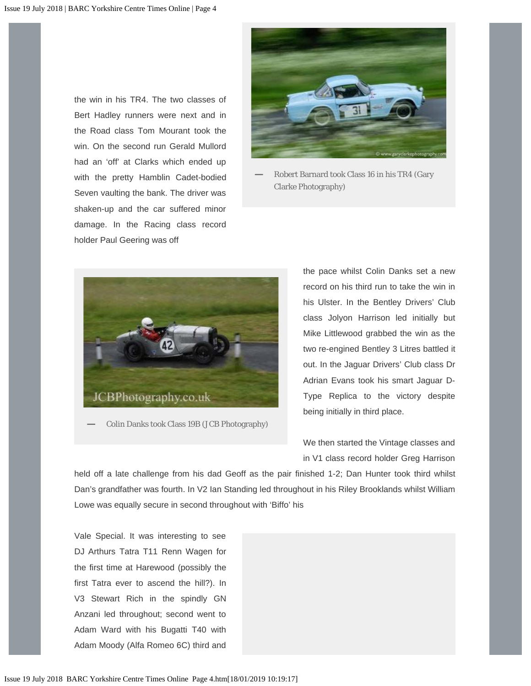the win in his TR4. The two classes of Bert Hadley runners were next and in the Road class Tom Mourant took the win. On the second run Gerald Mullord had an 'off' at Clarks which ended up with the pretty Hamblin Cadet-bodied Seven vaulting the bank. The driver was shaken-up and the car suffered minor damage. In the Racing class record holder Paul Geering was off



Robert Barnard took Class 16 in his TR4 (Gary Clarke Photography) **—**



**—** Colin Danks took Class 19B (JCB Photography)

the pace whilst Colin Danks set a new record on his third run to take the win in his Ulster. In the Bentley Drivers' Club class Jolyon Harrison led initially but Mike Littlewood grabbed the win as the two re-engined Bentley 3 Litres battled it out. In the Jaguar Drivers' Club class Dr Adrian Evans took his smart Jaguar D-Type Replica to the victory despite being initially in third place.

We then started the Vintage classes and in V1 class record holder Greg Harrison

held off a late challenge from his dad Geoff as the pair finished 1-2; Dan Hunter took third whilst Dan's grandfather was fourth. In V2 Ian Standing led throughout in his Riley Brooklands whilst William Lowe was equally secure in second throughout with 'Biffo' his

Vale Special. It was interesting to see DJ Arthurs Tatra T11 Renn Wagen for the first time at Harewood (possibly the first Tatra ever to ascend the hill?). In V3 Stewart Rich in the spindly GN Anzani led throughout; second went to Adam Ward with his Bugatti T40 with Adam Moody (Alfa Romeo 6C) third and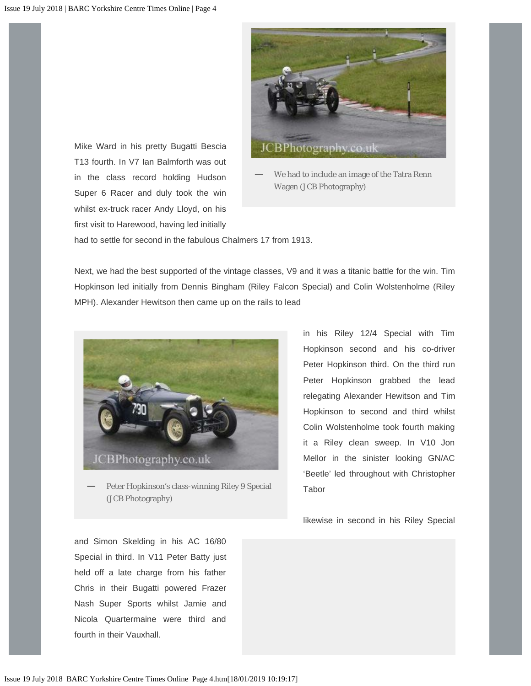

We had to include an image of the Tatra Renn Wagen (JCB Photography) **—**

Mike Ward in his pretty Bugatti Bescia T13 fourth. In V7 Ian Balmforth was out in the class record holding Hudson Super 6 Racer and duly took the win whilst ex-truck racer Andy Lloyd, on his first visit to Harewood, having led initially

had to settle for second in the fabulous Chalmers 17 from 1913.

Next, we had the best supported of the vintage classes, V9 and it was a titanic battle for the win. Tim Hopkinson led initially from Dennis Bingham (Riley Falcon Special) and Colin Wolstenholme (Riley MPH). Alexander Hewitson then came up on the rails to lead



Peter Hopkinson's class-winning Riley 9 Special (JCB Photography) **—**

in his Riley 12/4 Special with Tim Hopkinson second and his co-driver Peter Hopkinson third. On the third run Peter Hopkinson grabbed the lead relegating Alexander Hewitson and Tim Hopkinson to second and third whilst Colin Wolstenholme took fourth making it a Riley clean sweep. In V10 Jon Mellor in the sinister looking GN/AC 'Beetle' led throughout with Christopher Tabor

likewise in second in his Riley Special

and Simon Skelding in his AC 16/80 Special in third. In V11 Peter Batty just held off a late charge from his father Chris in their Bugatti powered Frazer Nash Super Sports whilst Jamie and Nicola Quartermaine were third and fourth in their Vauxhall.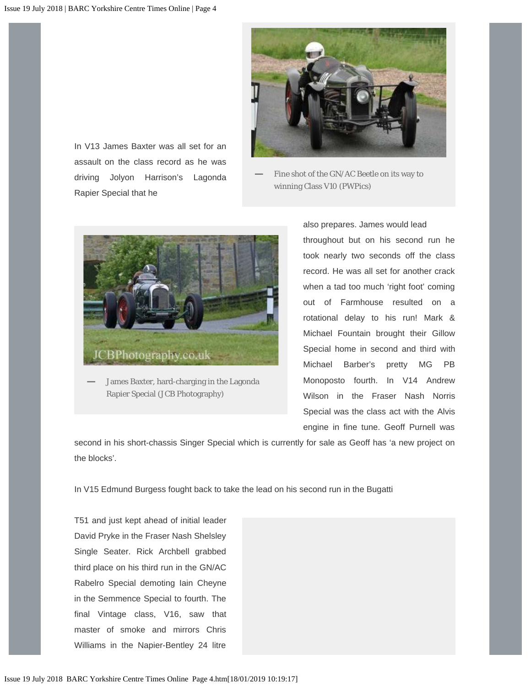Rapier Special that he



Fine shot of the GN/AC Beetle on its way to winning Class V10 (PWPics) **—**



In V13 James Baxter was all set for an assault on the class record as he was driving Jolyon Harrison's Lagonda

James Baxter, hard-charging in the Lagonda Rapier Special (JCB Photography) **—**

also prepares. James would lead throughout but on his second run he took nearly two seconds off the class record. He was all set for another crack when a tad too much 'right foot' coming out of Farmhouse resulted on a rotational delay to his run! Mark & Michael Fountain brought their Gillow Special home in second and third with Michael Barber's pretty MG PB Monoposto fourth. In V14 Andrew Wilson in the Fraser Nash Norris Special was the class act with the Alvis engine in fine tune. Geoff Purnell was

second in his short-chassis Singer Special which is currently for sale as Geoff has 'a new project on the blocks'.

In V15 Edmund Burgess fought back to take the lead on his second run in the Bugatti

T51 and just kept ahead of initial leader David Pryke in the Fraser Nash Shelsley Single Seater. Rick Archbell grabbed third place on his third run in the GN/AC Rabelro Special demoting Iain Cheyne in the Semmence Special to fourth. The final Vintage class, V16, saw that master of smoke and mirrors Chris Williams in the Napier-Bentley 24 litre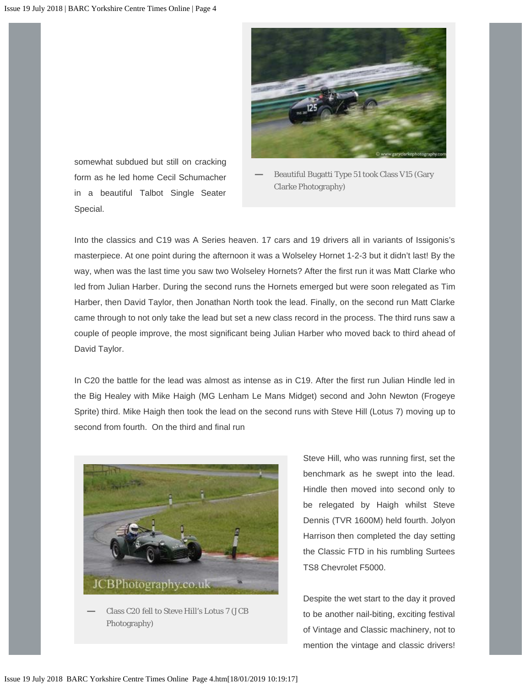

somewhat subdued but still on cracking form as he led home Cecil Schumacher in a beautiful Talbot Single Seater Special.

Beautiful Bugatti Type 51 took Class V15 (Gary Clarke Photography) **—**

Into the classics and C19 was A Series heaven. 17 cars and 19 drivers all in variants of Issigonis's masterpiece. At one point during the afternoon it was a Wolseley Hornet 1-2-3 but it didn't last! By the way, when was the last time you saw two Wolseley Hornets? After the first run it was Matt Clarke who led from Julian Harber. During the second runs the Hornets emerged but were soon relegated as Tim Harber, then David Taylor, then Jonathan North took the lead. Finally, on the second run Matt Clarke came through to not only take the lead but set a new class record in the process. The third runs saw a couple of people improve, the most significant being Julian Harber who moved back to third ahead of David Taylor.

In C20 the battle for the lead was almost as intense as in C19. After the first run Julian Hindle led in the Big Healey with Mike Haigh (MG Lenham Le Mans Midget) second and John Newton (Frogeye Sprite) third. Mike Haigh then took the lead on the second runs with Steve Hill (Lotus 7) moving up to second from fourth. On the third and final run



Class C20 fell to Steve Hill's Lotus 7 (JCB Photography) **—**

Steve Hill, who was running first, set the benchmark as he swept into the lead. Hindle then moved into second only to be relegated by Haigh whilst Steve Dennis (TVR 1600M) held fourth. Jolyon Harrison then completed the day setting the Classic FTD in his rumbling Surtees TS8 Chevrolet F5000.

Despite the wet start to the day it proved to be another nail-biting, exciting festival of Vintage and Classic machinery, not to mention the vintage and classic drivers!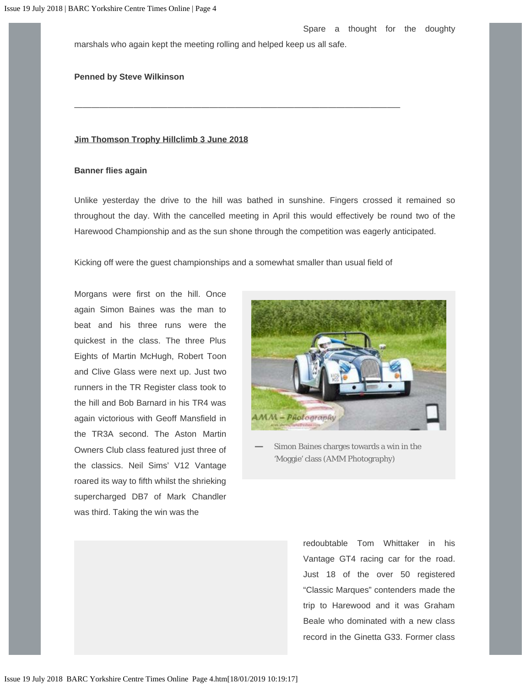Spare a thought for the doughty marshals who again kept the meeting rolling and helped keep us all safe.

**Penned by Steve Wilkinson**

#### **Jim Thomson Trophy Hillclimb 3 June 2018**

## **Banner flies again**

Unlike yesterday the drive to the hill was bathed in sunshine. Fingers crossed it remained so throughout the day. With the cancelled meeting in April this would effectively be round two of the Harewood Championship and as the sun shone through the competition was eagerly anticipated.

Kicking off were the guest championships and a somewhat smaller than usual field of

——————————————————————————————————————–

Morgans were first on the hill. Once again Simon Baines was the man to beat and his three runs were the quickest in the class. The three Plus Eights of Martin McHugh, Robert Toon and Clive Glass were next up. Just two runners in the TR Register class took to the hill and Bob Barnard in his TR4 was again victorious with Geoff Mansfield in the TR3A second. The Aston Martin Owners Club class featured just three of the classics. Neil Sims' V12 Vantage roared its way to fifth whilst the shrieking supercharged DB7 of Mark Chandler was third. Taking the win was the



Simon Baines charges towards a win in the 'Moggie' class (AMM Photography) **—**

> redoubtable Tom Whittaker in his Vantage GT4 racing car for the road. Just 18 of the over 50 registered "Classic Marques" contenders made the trip to Harewood and it was Graham Beale who dominated with a new class record in the Ginetta G33. Former class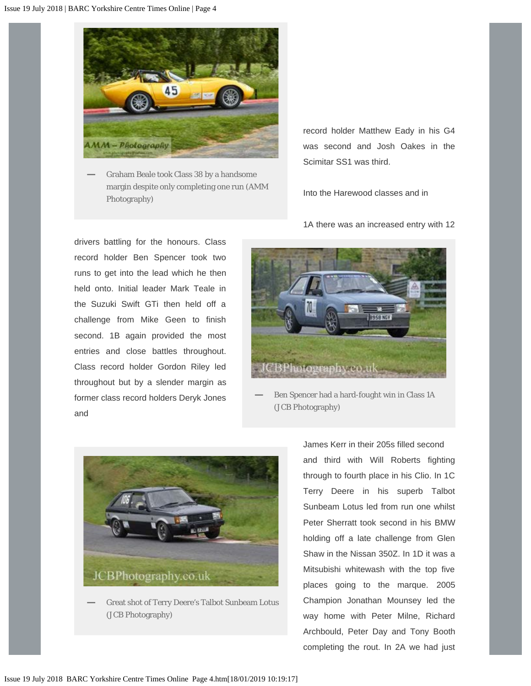

Graham Beale took Class 38 by a handsome margin despite only completing one run (AMM Photography) **—**

record holder Matthew Eady in his G4 was second and Josh Oakes in the Scimitar SS1 was third.

Into the Harewood classes and in

1A there was an increased entry with 12

drivers battling for the honours. Class record holder Ben Spencer took two runs to get into the lead which he then held onto. Initial leader Mark Teale in the Suzuki Swift GTi then held off a challenge from Mike Geen to finish second. 1B again provided the most entries and close battles throughout. Class record holder Gordon Riley led throughout but by a slender margin as former class record holders Deryk Jones and



Ben Spencer had a hard-fought win in Class 1A (JCB Photography) **—**



Great shot of Terry Deere's Talbot Sunbeam Lotus (JCB Photography) **—**

James Kerr in their 205s filled second and third with Will Roberts fighting through to fourth place in his Clio. In 1C Terry Deere in his superb Talbot Sunbeam Lotus led from run one whilst Peter Sherratt took second in his BMW holding off a late challenge from Glen Shaw in the Nissan 350Z. In 1D it was a Mitsubishi whitewash with the top five places going to the marque. 2005 Champion Jonathan Mounsey led the way home with Peter Milne, Richard Archbould, Peter Day and Tony Booth completing the rout. In 2A we had just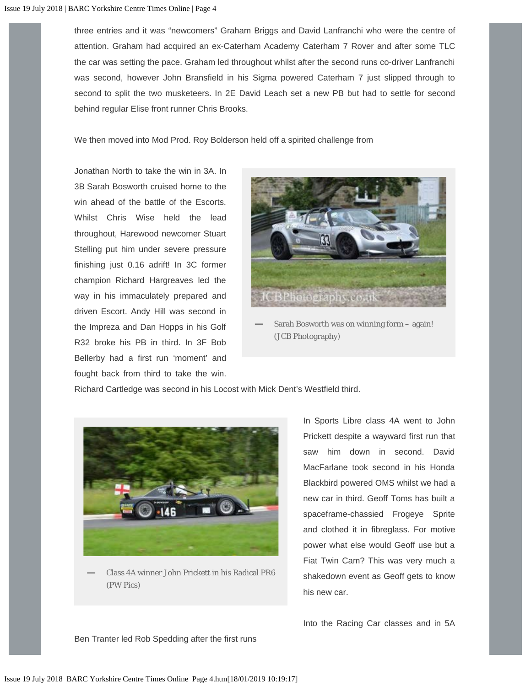three entries and it was "newcomers" Graham Briggs and David Lanfranchi who were the centre of attention. Graham had acquired an ex-Caterham Academy Caterham 7 Rover and after some TLC the car was setting the pace. Graham led throughout whilst after the second runs co-driver Lanfranchi was second, however John Bransfield in his Sigma powered Caterham 7 just slipped through to second to split the two musketeers. In 2E David Leach set a new PB but had to settle for second behind regular Elise front runner Chris Brooks.

We then moved into Mod Prod. Roy Bolderson held off a spirited challenge from

Jonathan North to take the win in 3A. In 3B Sarah Bosworth cruised home to the win ahead of the battle of the Escorts. Whilst Chris Wise held the lead throughout, Harewood newcomer Stuart Stelling put him under severe pressure finishing just 0.16 adrift! In 3C former champion Richard Hargreaves led the way in his immaculately prepared and driven Escort. Andy Hill was second in the Impreza and Dan Hopps in his Golf R32 broke his PB in third. In 3F Bob Bellerby had a first run 'moment' and fought back from third to take the win.



Sarah Bosworth was on winning form – again! (JCB Photography) **—**

Richard Cartledge was second in his Locost with Mick Dent's Westfield third.



Class 4A winner John Prickett in his Radical PR6 (PW Pics) **—**

In Sports Libre class 4A went to John Prickett despite a wayward first run that saw him down in second. David MacFarlane took second in his Honda Blackbird powered OMS whilst we had a new car in third. Geoff Toms has built a spaceframe-chassied Frogeye Sprite and clothed it in fibreglass. For motive power what else would Geoff use but a Fiat Twin Cam? This was very much a shakedown event as Geoff gets to know his new car.

Into the Racing Car classes and in 5A

Ben Tranter led Rob Spedding after the first runs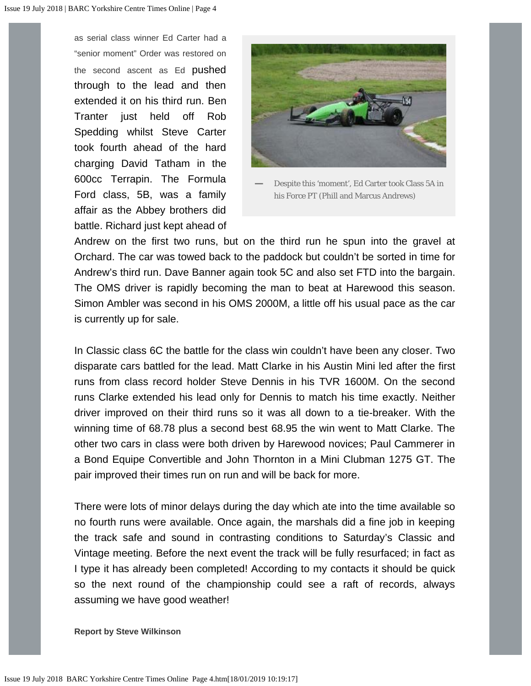as serial class winner Ed Carter had a "senior moment" Order was restored on the second ascent as Ed pushed through to the lead and then extended it on his third run. Ben Tranter just held off Rob Spedding whilst Steve Carter took fourth ahead of the hard charging David Tatham in the 600cc Terrapin. The Formula Ford class, 5B, was a family affair as the Abbey brothers did battle. Richard just kept ahead of



Despite this 'moment', Ed Carter took Class 5A in his Force PT (Phill and Marcus Andrews) **—**

Andrew on the first two runs, but on the third run he spun into the gravel at Orchard. The car was towed back to the paddock but couldn't be sorted in time for Andrew's third run. Dave Banner again took 5C and also set FTD into the bargain. The OMS driver is rapidly becoming the man to beat at Harewood this season. Simon Ambler was second in his OMS 2000M, a little off his usual pace as the car is currently up for sale.

In Classic class 6C the battle for the class win couldn't have been any closer. Two disparate cars battled for the lead. Matt Clarke in his Austin Mini led after the first runs from class record holder Steve Dennis in his TVR 1600M. On the second runs Clarke extended his lead only for Dennis to match his time exactly. Neither driver improved on their third runs so it was all down to a tie-breaker. With the winning time of 68.78 plus a second best 68.95 the win went to Matt Clarke. The other two cars in class were both driven by Harewood novices; Paul Cammerer in a Bond Equipe Convertible and John Thornton in a Mini Clubman 1275 GT. The pair improved their times run on run and will be back for more.

There were lots of minor delays during the day which ate into the time available so no fourth runs were available. Once again, the marshals did a fine job in keeping the track safe and sound in contrasting conditions to Saturday's Classic and Vintage meeting. Before the next event the track will be fully resurfaced; in fact as I type it has already been completed! According to my contacts it should be quick so the next round of the championship could see a raft of records, always assuming we have good weather!

**Report by Steve Wilkinson**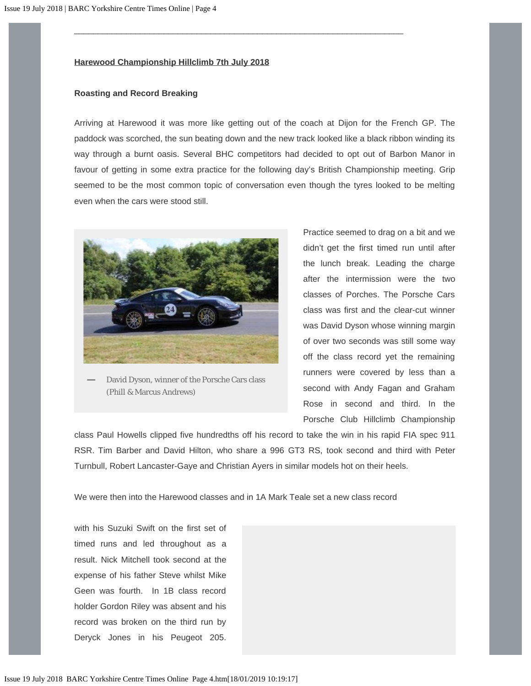## **Harewood Championship Hillclimb 7th July 2018**

## **Roasting and Record Breaking**

Arriving at Harewood it was more like getting out of the coach at Dijon for the French GP. The paddock was scorched, the sun beating down and the new track looked like a black ribbon winding its way through a burnt oasis. Several BHC competitors had decided to opt out of Barbon Manor in favour of getting in some extra practice for the following day's British Championship meeting. Grip seemed to be the most common topic of conversation even though the tyres looked to be melting even when the cars were stood still.

\_\_\_\_\_\_\_\_\_\_\_\_\_\_\_\_\_\_\_\_\_\_\_\_\_\_\_\_\_\_\_\_\_\_\_\_\_\_\_\_\_\_\_\_\_\_\_\_\_\_\_\_\_\_\_\_\_\_\_\_\_\_\_\_\_\_\_\_\_\_



David Dyson, winner of the Porsche Cars class (Phill & Marcus Andrews) **—**

Practice seemed to drag on a bit and we didn't get the first timed run until after the lunch break. Leading the charge after the intermission were the two classes of Porches. The Porsche Cars class was first and the clear-cut winner was David Dyson whose winning margin of over two seconds was still some way off the class record yet the remaining runners were covered by less than a second with Andy Fagan and Graham Rose in second and third. In the Porsche Club Hillclimb Championship

class Paul Howells clipped five hundredths off his record to take the win in his rapid FIA spec 911 RSR. Tim Barber and David Hilton, who share a 996 GT3 RS, took second and third with Peter Turnbull, Robert Lancaster-Gaye and Christian Ayers in similar models hot on their heels.

We were then into the Harewood classes and in 1A Mark Teale set a new class record

with his Suzuki Swift on the first set of timed runs and led throughout as a result. Nick Mitchell took second at the expense of his father Steve whilst Mike Geen was fourth. In 1B class record holder Gordon Riley was absent and his record was broken on the third run by Deryck Jones in his Peugeot 205.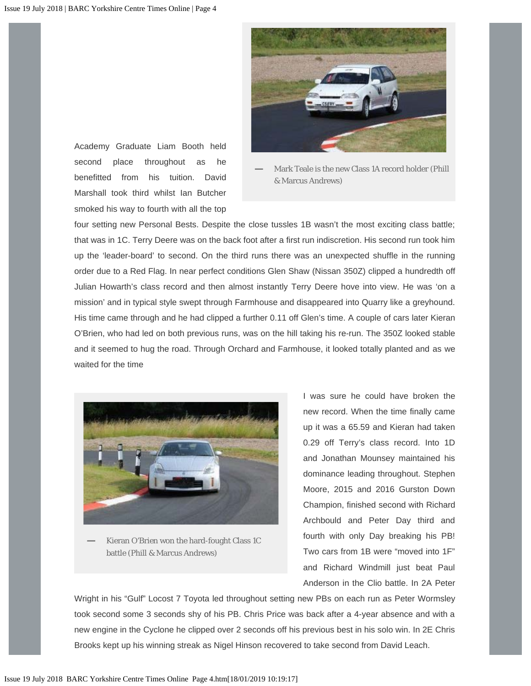

Academy Graduate Liam Booth held second place throughout as he benefitted from his tuition. David Marshall took third whilst Ian Butcher smoked his way to fourth with all the top

Mark Teale is the new Class 1A record holder (Phill & Marcus Andrews) **—**

four setting new Personal Bests. Despite the close tussles 1B wasn't the most exciting class battle; that was in 1C. Terry Deere was on the back foot after a first run indiscretion. His second run took him up the 'leader-board' to second. On the third runs there was an unexpected shuffle in the running order due to a Red Flag. In near perfect conditions Glen Shaw (Nissan 350Z) clipped a hundredth off Julian Howarth's class record and then almost instantly Terry Deere hove into view. He was 'on a mission' and in typical style swept through Farmhouse and disappeared into Quarry like a greyhound. His time came through and he had clipped a further 0.11 off Glen's time. A couple of cars later Kieran O'Brien, who had led on both previous runs, was on the hill taking his re-run. The 350Z looked stable and it seemed to hug the road. Through Orchard and Farmhouse, it looked totally planted and as we waited for the time



Kieran O'Brien won the hard-fought Class 1C battle (Phill & Marcus Andrews) **—**

I was sure he could have broken the new record. When the time finally came up it was a 65.59 and Kieran had taken 0.29 off Terry's class record. Into 1D and Jonathan Mounsey maintained his dominance leading throughout. Stephen Moore, 2015 and 2016 Gurston Down Champion, finished second with Richard Archbould and Peter Day third and fourth with only Day breaking his PB! Two cars from 1B were "moved into 1F" and Richard Windmill just beat Paul Anderson in the Clio battle. In 2A Peter

Wright in his "Gulf" Locost 7 Toyota led throughout setting new PBs on each run as Peter Wormsley took second some 3 seconds shy of his PB. Chris Price was back after a 4-year absence and with a new engine in the Cyclone he clipped over 2 seconds off his previous best in his solo win. In 2E Chris Brooks kept up his winning streak as Nigel Hinson recovered to take second from David Leach.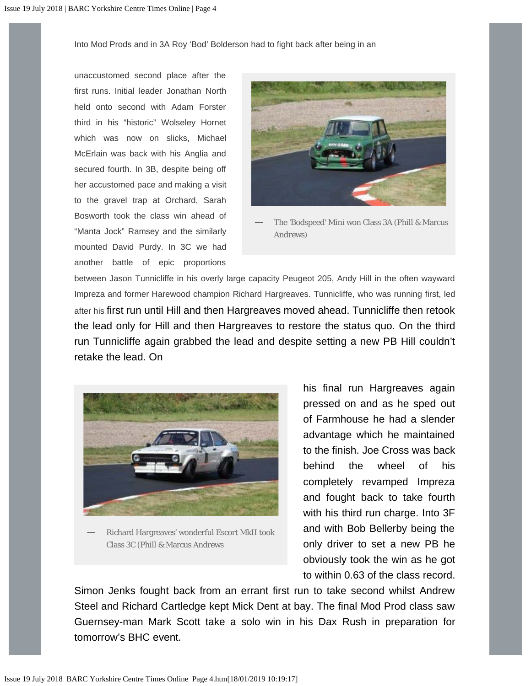Into Mod Prods and in 3A Roy 'Bod' Bolderson had to fight back after being in an

unaccustomed second place after the first runs. Initial leader Jonathan North held onto second with Adam Forster third in his "historic" Wolseley Hornet which was now on slicks, Michael McErlain was back with his Anglia and secured fourth. In 3B, despite being off her accustomed pace and making a visit to the gravel trap at Orchard, Sarah Bosworth took the class win ahead of "Manta Jock" Ramsey and the similarly mounted David Purdy. In 3C we had another battle of epic proportions



The 'Bodspeed' Mini won Class 3A (Phill & Marcus Andrews) **—**

between Jason Tunnicliffe in his overly large capacity Peugeot 205, Andy Hill in the often wayward Impreza and former Harewood champion Richard Hargreaves. Tunnicliffe, who was running first, led after his first run until Hill and then Hargreaves moved ahead. Tunnicliffe then retook the lead only for Hill and then Hargreaves to restore the status quo. On the third run Tunnicliffe again grabbed the lead and despite setting a new PB Hill couldn't retake the lead. On



Richard Hargreaves' wonderful Escort MkII took Class 3C (Phill & Marcus Andrews **—**

his final run Hargreaves again pressed on and as he sped out of Farmhouse he had a slender advantage which he maintained to the finish. Joe Cross was back behind the wheel of his completely revamped Impreza and fought back to take fourth with his third run charge. Into 3F and with Bob Bellerby being the only driver to set a new PB he obviously took the win as he got to within 0.63 of the class record.

Simon Jenks fought back from an errant first run to take second whilst Andrew Steel and Richard Cartledge kept Mick Dent at bay. The final Mod Prod class saw Guernsey-man Mark Scott take a solo win in his Dax Rush in preparation for tomorrow's BHC event.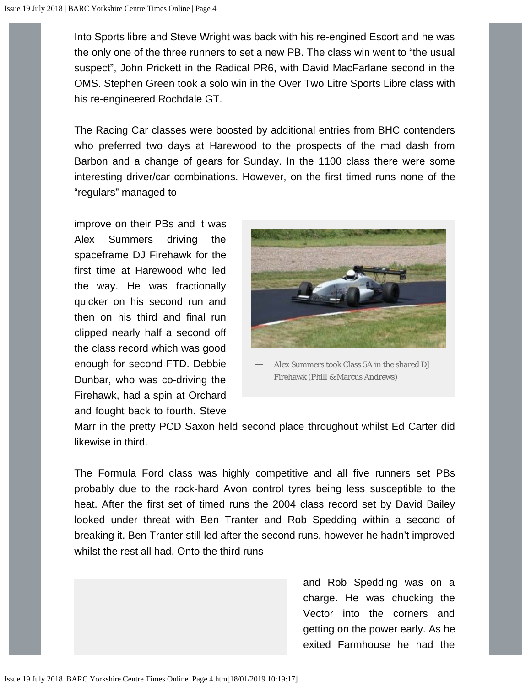Into Sports libre and Steve Wright was back with his re-engined Escort and he was the only one of the three runners to set a new PB. The class win went to "the usual suspect", John Prickett in the Radical PR6, with David MacFarlane second in the OMS. Stephen Green took a solo win in the Over Two Litre Sports Libre class with his re-engineered Rochdale GT.

The Racing Car classes were boosted by additional entries from BHC contenders who preferred two days at Harewood to the prospects of the mad dash from Barbon and a change of gears for Sunday. In the 1100 class there were some interesting driver/car combinations. However, on the first timed runs none of the "regulars" managed to

improve on their PBs and it was Alex Summers driving the spaceframe DJ Firehawk for the first time at Harewood who led the way. He was fractionally quicker on his second run and then on his third and final run clipped nearly half a second off the class record which was good enough for second FTD. Debbie Dunbar, who was co-driving the Firehawk, had a spin at Orchard and fought back to fourth. Steve



Alex Summers took Class 5A in the shared DJ Firehawk (Phill & Marcus Andrews) **—**

Marr in the pretty PCD Saxon held second place throughout whilst Ed Carter did likewise in third.

The Formula Ford class was highly competitive and all five runners set PBs probably due to the rock-hard Avon control tyres being less susceptible to the heat. After the first set of timed runs the 2004 class record set by David Bailey looked under threat with Ben Tranter and Rob Spedding within a second of breaking it. Ben Tranter still led after the second runs, however he hadn't improved whilst the rest all had. Onto the third runs

> and Rob Spedding was on a charge. He was chucking the Vector into the corners and getting on the power early. As he exited Farmhouse he had the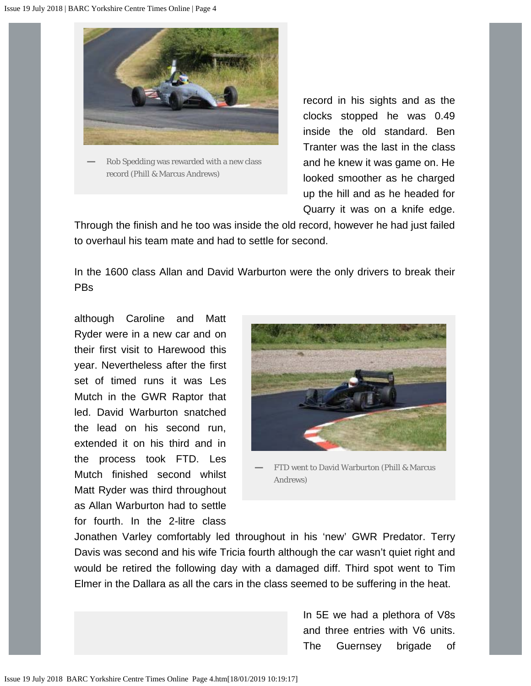

Rob Spedding was rewarded with a new class record (Phill & Marcus Andrews) **—**

record in his sights and as the clocks stopped he was 0.49 inside the old standard. Ben Tranter was the last in the class and he knew it was game on. He looked smoother as he charged up the hill and as he headed for Quarry it was on a knife edge.

Through the finish and he too was inside the old record, however he had just failed to overhaul his team mate and had to settle for second.

In the 1600 class Allan and David Warburton were the only drivers to break their PBs

although Caroline and Matt Ryder were in a new car and on their first visit to Harewood this year. Nevertheless after the first set of timed runs it was Les Mutch in the GWR Raptor that led. David Warburton snatched the lead on his second run, extended it on his third and in the process took FTD. Les Mutch finished second whilst Matt Ryder was third throughout as Allan Warburton had to settle for fourth. In the 2-litre class



FTD went to David Warburton (Phill & Marcus Andrews) **—**

Jonathen Varley comfortably led throughout in his 'new' GWR Predator. Terry Davis was second and his wife Tricia fourth although the car wasn't quiet right and would be retired the following day with a damaged diff. Third spot went to Tim Elmer in the Dallara as all the cars in the class seemed to be suffering in the heat.

> In 5E we had a plethora of V8s and three entries with V6 units. The Guernsey brigade of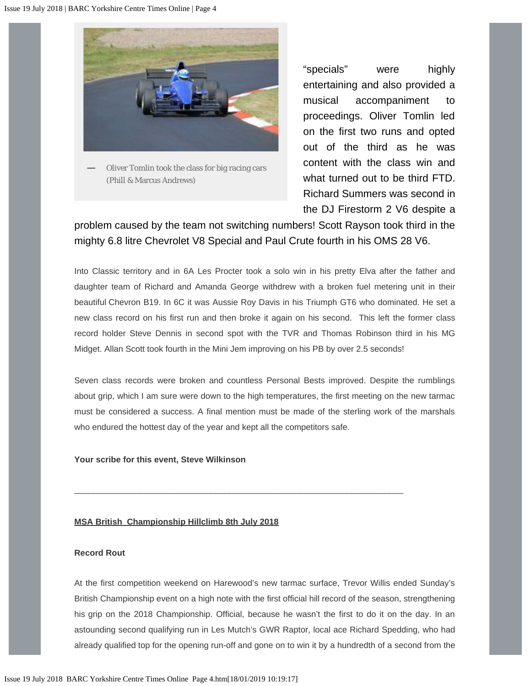

Oliver Tomlin took the class for big racing cars (Phill & Marcus Andrews) **—**

"specials" were highly entertaining and also provided a musical accompaniment to proceedings. Oliver Tomlin led on the first two runs and opted out of the third as he was content with the class win and what turned out to be third FTD. Richard Summers was second in the DJ Firestorm 2 V6 despite a

problem caused by the team not switching numbers! Scott Rayson took third in the mighty 6.8 litre Chevrolet V8 Special and Paul Crute fourth in his OMS 28 V6.

Into Classic territory and in 6A Les Procter took a solo win in his pretty Elva after the father and daughter team of Richard and Amanda George withdrew with a broken fuel metering unit in their beautiful Chevron B19. In 6C it was Aussie Roy Davis in his Triumph GT6 who dominated. He set a new class record on his first run and then broke it again on his second. This left the former class record holder Steve Dennis in second spot with the TVR and Thomas Robinson third in his MG Midget. Allan Scott took fourth in the Mini Jem improving on his PB by over 2.5 seconds!

Seven class records were broken and countless Personal Bests improved. Despite the rumblings about grip, which I am sure were down to the high temperatures, the first meeting on the new tarmac must be considered a success. A final mention must be made of the sterling work of the marshals who endured the hottest day of the year and kept all the competitors safe.

\_\_\_\_\_\_\_\_\_\_\_\_\_\_\_\_\_\_\_\_\_\_\_\_\_\_\_\_\_\_\_\_\_\_\_\_\_\_\_\_\_\_\_\_\_\_\_\_\_\_\_\_\_\_\_\_\_\_\_\_\_\_\_\_\_\_\_\_\_\_

#### **Your scribe for this event, Steve Wilkinson**

#### **MSA British Championship Hillclimb 8th July 2018**

## **Record Rout**

At the first competition weekend on Harewood's new tarmac surface, Trevor Willis ended Sunday's British Championship event on a high note with the first official hill record of the season, strengthening his grip on the 2018 Championship. Official, because he wasn't the first to do it on the day. In an astounding second qualifying run in Les Mutch's GWR Raptor, local ace Richard Spedding, who had already qualified top for the opening run-off and gone on to win it by a hundredth of a second from the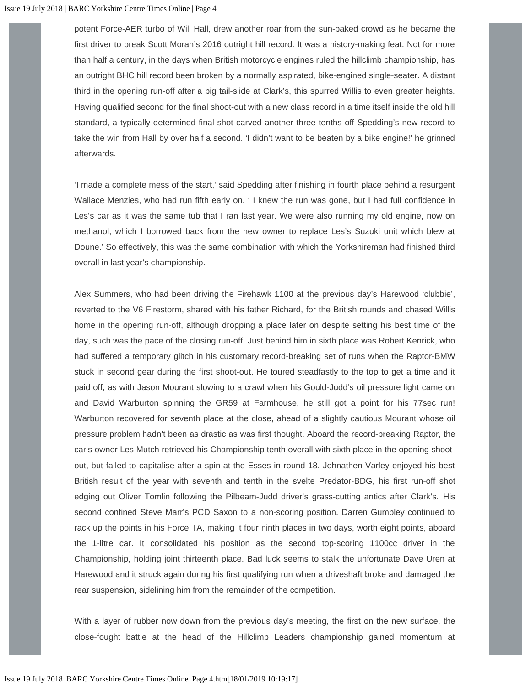potent Force-AER turbo of Will Hall, drew another roar from the sun-baked crowd as he became the first driver to break Scott Moran's 2016 outright hill record. It was a history-making feat. Not for more than half a century, in the days when British motorcycle engines ruled the hillclimb championship, has an outright BHC hill record been broken by a normally aspirated, bike-engined single-seater. A distant third in the opening run-off after a big tail-slide at Clark's, this spurred Willis to even greater heights. Having qualified second for the final shoot-out with a new class record in a time itself inside the old hill standard, a typically determined final shot carved another three tenths off Spedding's new record to take the win from Hall by over half a second. 'I didn't want to be beaten by a bike engine!' he grinned afterwards.

'I made a complete mess of the start,' said Spedding after finishing in fourth place behind a resurgent Wallace Menzies, who had run fifth early on. ' I knew the run was gone, but I had full confidence in Les's car as it was the same tub that I ran last year. We were also running my old engine, now on methanol, which I borrowed back from the new owner to replace Les's Suzuki unit which blew at Doune.' So effectively, this was the same combination with which the Yorkshireman had finished third overall in last year's championship.

Alex Summers, who had been driving the Firehawk 1100 at the previous day's Harewood 'clubbie', reverted to the V6 Firestorm, shared with his father Richard, for the British rounds and chased Willis home in the opening run-off, although dropping a place later on despite setting his best time of the day, such was the pace of the closing run-off. Just behind him in sixth place was Robert Kenrick, who had suffered a temporary glitch in his customary record-breaking set of runs when the Raptor-BMW stuck in second gear during the first shoot-out. He toured steadfastly to the top to get a time and it paid off, as with Jason Mourant slowing to a crawl when his Gould-Judd's oil pressure light came on and David Warburton spinning the GR59 at Farmhouse, he still got a point for his 77sec run! Warburton recovered for seventh place at the close, ahead of a slightly cautious Mourant whose oil pressure problem hadn't been as drastic as was first thought. Aboard the record-breaking Raptor, the car's owner Les Mutch retrieved his Championship tenth overall with sixth place in the opening shootout, but failed to capitalise after a spin at the Esses in round 18. Johnathen Varley enjoyed his best British result of the year with seventh and tenth in the svelte Predator-BDG, his first run-off shot edging out Oliver Tomlin following the Pilbeam-Judd driver's grass-cutting antics after Clark's. His second confined Steve Marr's PCD Saxon to a non-scoring position. Darren Gumbley continued to rack up the points in his Force TA, making it four ninth places in two days, worth eight points, aboard the 1-litre car. It consolidated his position as the second top-scoring 1100cc driver in the Championship, holding joint thirteenth place. Bad luck seems to stalk the unfortunate Dave Uren at Harewood and it struck again during his first qualifying run when a driveshaft broke and damaged the rear suspension, sidelining him from the remainder of the competition.

With a layer of rubber now down from the previous day's meeting, the first on the new surface, the close-fought battle at the head of the Hillclimb Leaders championship gained momentum at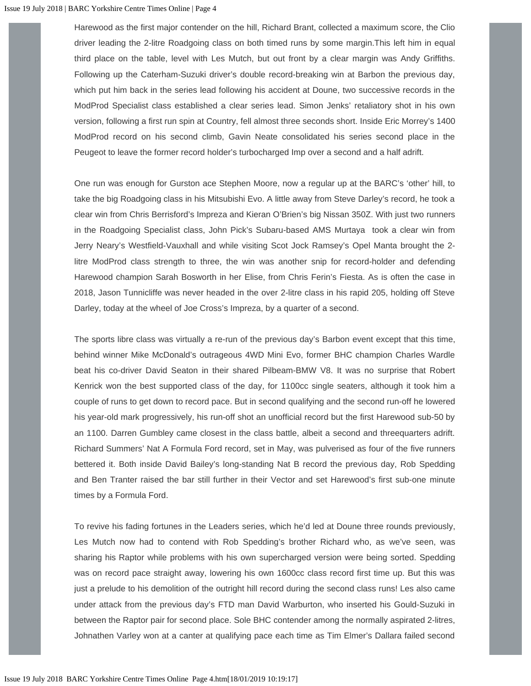Harewood as the first major contender on the hill, Richard Brant, collected a maximum score, the Clio driver leading the 2-litre Roadgoing class on both timed runs by some margin.This left him in equal third place on the table, level with Les Mutch, but out front by a clear margin was Andy Griffiths. Following up the Caterham-Suzuki driver's double record-breaking win at Barbon the previous day, which put him back in the series lead following his accident at Doune, two successive records in the ModProd Specialist class established a clear series lead. Simon Jenks' retaliatory shot in his own version, following a first run spin at Country, fell almost three seconds short. Inside Eric Morrey's 1400 ModProd record on his second climb, Gavin Neate consolidated his series second place in the Peugeot to leave the former record holder's turbocharged Imp over a second and a half adrift.

One run was enough for Gurston ace Stephen Moore, now a regular up at the BARC's 'other' hill, to take the big Roadgoing class in his Mitsubishi Evo. A little away from Steve Darley's record, he took a clear win from Chris Berrisford's Impreza and Kieran O'Brien's big Nissan 350Z. With just two runners in the Roadgoing Specialist class, John Pick's Subaru-based AMS Murtaya took a clear win from Jerry Neary's Westfield-Vauxhall and while visiting Scot Jock Ramsey's Opel Manta brought the 2 litre ModProd class strength to three, the win was another snip for record-holder and defending Harewood champion Sarah Bosworth in her Elise, from Chris Ferin's Fiesta. As is often the case in 2018, Jason Tunnicliffe was never headed in the over 2-litre class in his rapid 205, holding off Steve Darley, today at the wheel of Joe Cross's Impreza, by a quarter of a second.

The sports libre class was virtually a re-run of the previous day's Barbon event except that this time, behind winner Mike McDonald's outrageous 4WD Mini Evo, former BHC champion Charles Wardle beat his co-driver David Seaton in their shared Pilbeam-BMW V8. It was no surprise that Robert Kenrick won the best supported class of the day, for 1100cc single seaters, although it took him a couple of runs to get down to record pace. But in second qualifying and the second run-off he lowered his year-old mark progressively, his run-off shot an unofficial record but the first Harewood sub-50 by an 1100. Darren Gumbley came closest in the class battle, albeit a second and threequarters adrift. Richard Summers' Nat A Formula Ford record, set in May, was pulverised as four of the five runners bettered it. Both inside David Bailey's long-standing Nat B record the previous day, Rob Spedding and Ben Tranter raised the bar still further in their Vector and set Harewood's first sub-one minute times by a Formula Ford.

To revive his fading fortunes in the Leaders series, which he'd led at Doune three rounds previously, Les Mutch now had to contend with Rob Spedding's brother Richard who, as we've seen, was sharing his Raptor while problems with his own supercharged version were being sorted. Spedding was on record pace straight away, lowering his own 1600cc class record first time up. But this was just a prelude to his demolition of the outright hill record during the second class runs! Les also came under attack from the previous day's FTD man David Warburton, who inserted his Gould-Suzuki in between the Raptor pair for second place. Sole BHC contender among the normally aspirated 2-litres, Johnathen Varley won at a canter at qualifying pace each time as Tim Elmer's Dallara failed second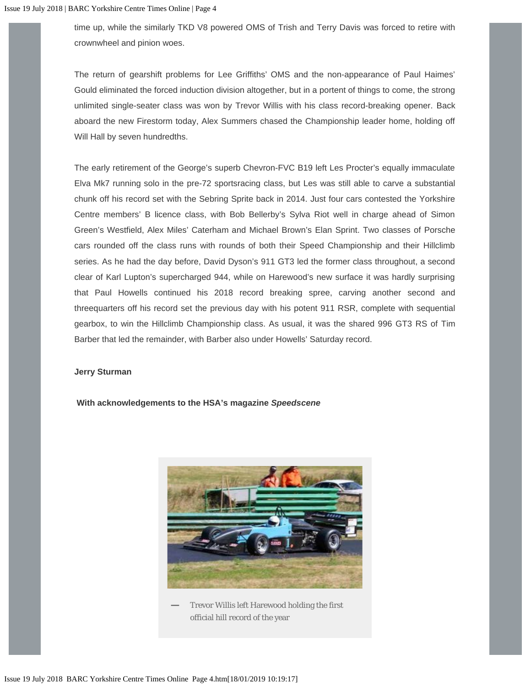time up, while the similarly TKD V8 powered OMS of Trish and Terry Davis was forced to retire with crownwheel and pinion woes.

The return of gearshift problems for Lee Griffiths' OMS and the non-appearance of Paul Haimes' Gould eliminated the forced induction division altogether, but in a portent of things to come, the strong unlimited single-seater class was won by Trevor Willis with his class record-breaking opener. Back aboard the new Firestorm today, Alex Summers chased the Championship leader home, holding off Will Hall by seven hundredths.

The early retirement of the George's superb Chevron-FVC B19 left Les Procter's equally immaculate Elva Mk7 running solo in the pre-72 sportsracing class, but Les was still able to carve a substantial chunk off his record set with the Sebring Sprite back in 2014. Just four cars contested the Yorkshire Centre members' B licence class, with Bob Bellerby's Sylva Riot well in charge ahead of Simon Green's Westfield, Alex Miles' Caterham and Michael Brown's Elan Sprint. Two classes of Porsche cars rounded off the class runs with rounds of both their Speed Championship and their Hillclimb series. As he had the day before, David Dyson's 911 GT3 led the former class throughout, a second clear of Karl Lupton's supercharged 944, while on Harewood's new surface it was hardly surprising that Paul Howells continued his 2018 record breaking spree, carving another second and threequarters off his record set the previous day with his potent 911 RSR, complete with sequential gearbox, to win the Hillclimb Championship class. As usual, it was the shared 996 GT3 RS of Tim Barber that led the remainder, with Barber also under Howells' Saturday record.

#### **Jerry Sturman**

**With acknowledgements to the HSA's magazine** *Speedscene*



Trevor Willis left Harewood holding the first official hill record of the year **—**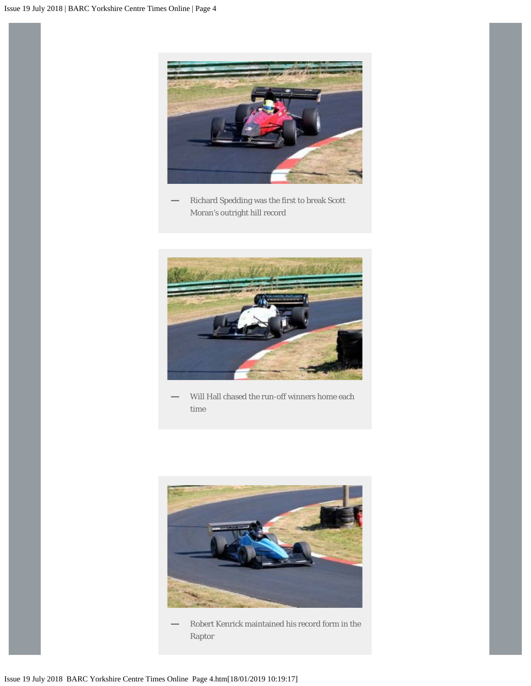

Richard Spedding was the first to break Scott Moran's outright hill record **—**



Will Hall chased the run-off winners home each time **—**



Robert Kenrick maintained his record form in the Raptor **—**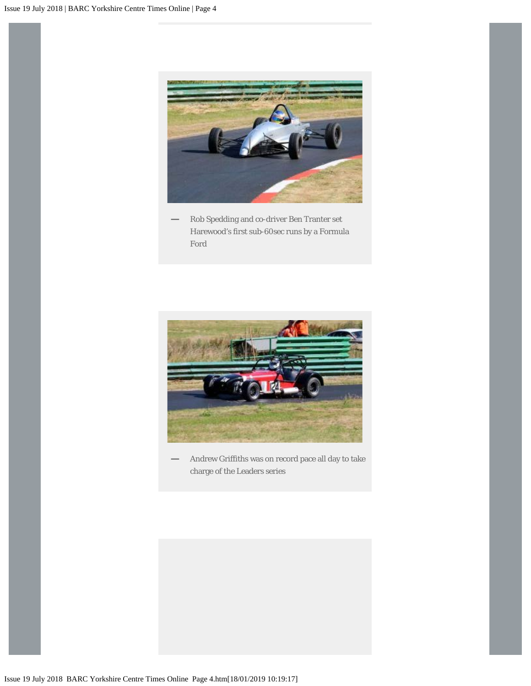

Rob Spedding and co-driver Ben Tranter set Harewood's first sub-60sec runs by a Formula Ford **—**



Andrew Griffiths was on record pace all day to take charge of the Leaders series **—**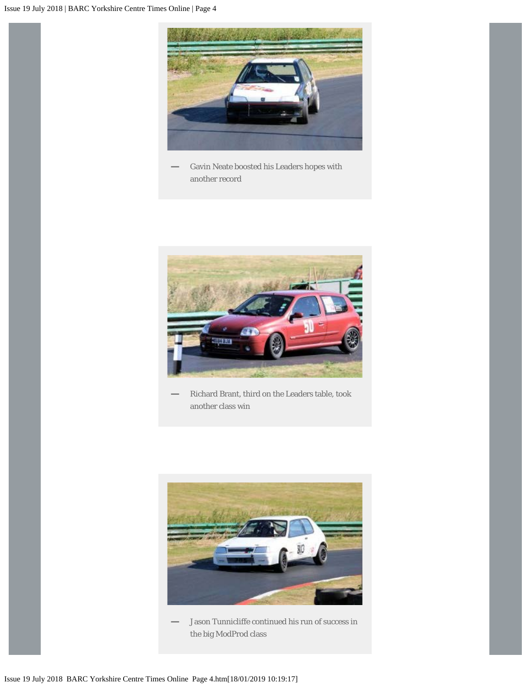

Gavin Neate boosted his Leaders hopes with another record **—**



Richard Brant, third on the Leaders table, took another class win **—**



Jason Tunnicliffe continued his run of success in the big ModProd class **—**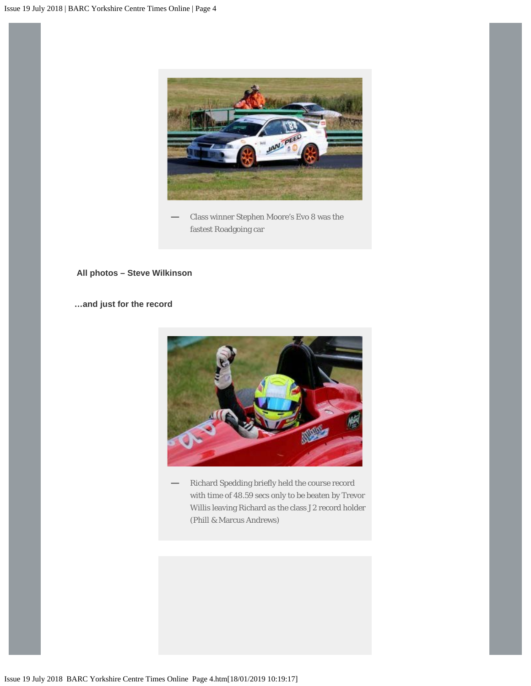

Class winner Stephen Moore's Evo 8 was the fastest Roadgoing car **—**

## **All photos – Steve Wilkinson**

## **…and just for the record**



Richard Spedding briefly held the course record with time of 48.59 secs only to be beaten by Trevor Willis leaving Richard as the class J2 record holder (Phill & Marcus Andrews) **—**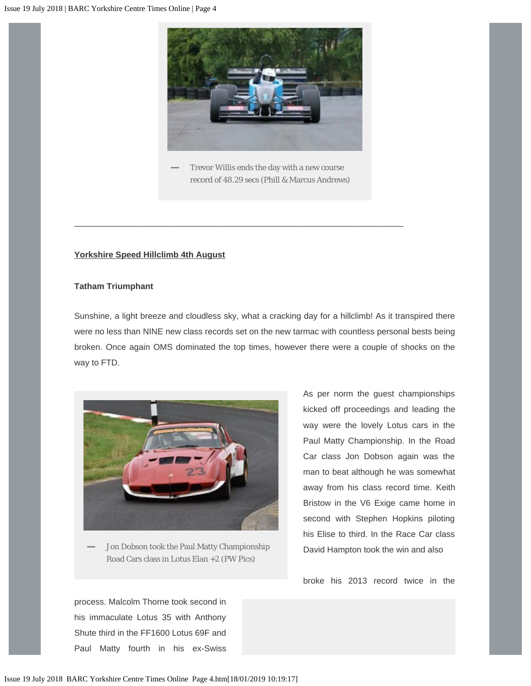

Trevor Willis ends the day with a new course record of 48.29 secs (Phill & Marcus Andrews) **—**

\_\_\_\_\_\_\_\_\_\_\_\_\_\_\_\_\_\_\_\_\_\_\_\_\_\_\_\_\_\_\_\_\_\_\_\_\_\_\_\_\_\_\_\_\_\_\_\_\_\_\_\_\_\_\_\_\_\_\_\_\_\_\_\_\_\_\_\_\_\_

#### **Yorkshire Speed Hillclimb 4th August**

## **Tatham Triumphant**

Sunshine, a light breeze and cloudless sky, what a cracking day for a hillclimb! As it transpired there were no less than NINE new class records set on the new tarmac with countless personal bests being broken. Once again OMS dominated the top times, however there were a couple of shocks on the way to FTD.



Jon Dobson took the Paul Matty Championship Road Cars class in Lotus Elan +2 (PW Pics) **—**

As per norm the guest championships kicked off proceedings and leading the way were the lovely Lotus cars in the Paul Matty Championship. In the Road Car class Jon Dobson again was the man to beat although he was somewhat away from his class record time. Keith Bristow in the V6 Exige came home in second with Stephen Hopkins piloting his Elise to third. In the Race Car class David Hampton took the win and also

broke his 2013 record twice in the

process. Malcolm Thorne took second in his immaculate Lotus 35 with Anthony Shute third in the FF1600 Lotus 69F and Paul Matty fourth in his ex-Swiss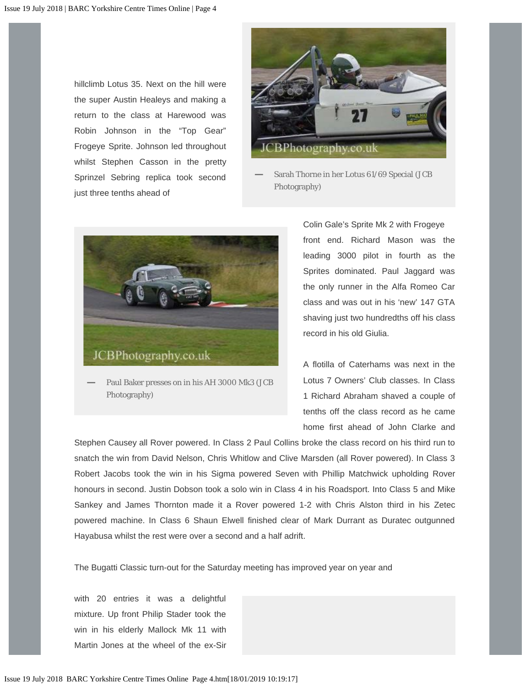hillclimb Lotus 35. Next on the hill were the super Austin Healeys and making a return to the class at Harewood was Robin Johnson in the "Top Gear" Frogeye Sprite. Johnson led throughout whilst Stephen Casson in the pretty Sprinzel Sebring replica took second just three tenths ahead of



Sarah Thorne in her Lotus 61/69 Special (JCB Photography) **—**



Paul Baker presses on in his AH 3000 Mk3 (JCB Photography) **—**

Colin Gale's Sprite Mk 2 with Frogeye front end. Richard Mason was the leading 3000 pilot in fourth as the Sprites dominated. Paul Jaggard was the only runner in the Alfa Romeo Car class and was out in his 'new' 147 GTA shaving just two hundredths off his class record in his old Giulia.

A flotilla of Caterhams was next in the Lotus 7 Owners' Club classes. In Class 1 Richard Abraham shaved a couple of tenths off the class record as he came home first ahead of John Clarke and

Stephen Causey all Rover powered. In Class 2 Paul Collins broke the class record on his third run to snatch the win from David Nelson, Chris Whitlow and Clive Marsden (all Rover powered). In Class 3 Robert Jacobs took the win in his Sigma powered Seven with Phillip Matchwick upholding Rover honours in second. Justin Dobson took a solo win in Class 4 in his Roadsport. Into Class 5 and Mike Sankey and James Thornton made it a Rover powered 1-2 with Chris Alston third in his Zetec powered machine. In Class 6 Shaun Elwell finished clear of Mark Durrant as Duratec outgunned Hayabusa whilst the rest were over a second and a half adrift.

The Bugatti Classic turn-out for the Saturday meeting has improved year on year and

with 20 entries it was a delightful mixture. Up front Philip Stader took the win in his elderly Mallock Mk 11 with Martin Jones at the wheel of the ex-Sir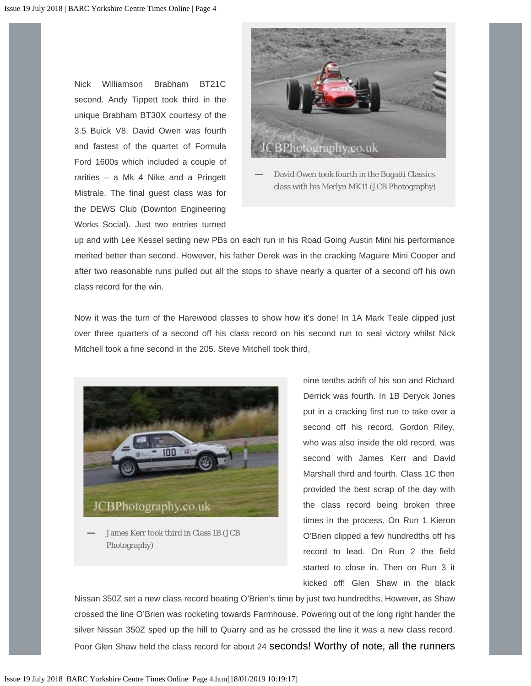Nick Williamson Brabham BT21C second. Andy Tippett took third in the unique Brabham BT30X courtesy of the 3.5 Buick V8. David Owen was fourth and fastest of the quartet of Formula Ford 1600s which included a couple of rarities – a Mk 4 Nike and a Pringett Mistrale. The final guest class was for the DEWS Club (Downton Engineering Works Social). Just two entries turned



David Owen took fourth in the Bugatti Classics class with his Merlyn MK11 (JCB Photography) **—**

up and with Lee Kessel setting new PBs on each run in his Road Going Austin Mini his performance merited better than second. However, his father Derek was in the cracking Maguire Mini Cooper and after two reasonable runs pulled out all the stops to shave nearly a quarter of a second off his own class record for the win.

Now it was the turn of the Harewood classes to show how it's done! In 1A Mark Teale clipped just over three quarters of a second off his class record on his second run to seal victory whilst Nick Mitchell took a fine second in the 205. Steve Mitchell took third,



James Kerr took third in Class 1B (JCB Photography) **—**

nine tenths adrift of his son and Richard Derrick was fourth. In 1B Deryck Jones put in a cracking first run to take over a second off his record. Gordon Riley, who was also inside the old record, was second with James Kerr and David Marshall third and fourth. Class 1C then provided the best scrap of the day with the class record being broken three times in the process. On Run 1 Kieron O'Brien clipped a few hundredths off his record to lead. On Run 2 the field started to close in. Then on Run 3 it kicked off! Glen Shaw in the black

Nissan 350Z set a new class record beating O'Brien's time by just two hundredths. However, as Shaw crossed the line O'Brien was rocketing towards Farmhouse. Powering out of the long right hander the silver Nissan 350Z sped up the hill to Quarry and as he crossed the line it was a new class record. Poor Glen Shaw held the class record for about 24 seconds! Worthy of note, all the runners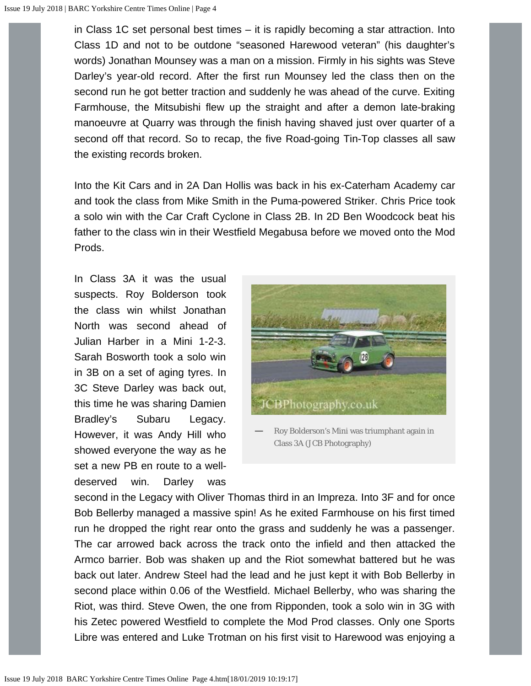in Class 1C set personal best times – it is rapidly becoming a star attraction. Into Class 1D and not to be outdone "seasoned Harewood veteran" (his daughter's words) Jonathan Mounsey was a man on a mission. Firmly in his sights was Steve Darley's year-old record. After the first run Mounsey led the class then on the second run he got better traction and suddenly he was ahead of the curve. Exiting Farmhouse, the Mitsubishi flew up the straight and after a demon late-braking manoeuvre at Quarry was through the finish having shaved just over quarter of a second off that record. So to recap, the five Road-going Tin-Top classes all saw the existing records broken.

Into the Kit Cars and in 2A Dan Hollis was back in his ex-Caterham Academy car and took the class from Mike Smith in the Puma-powered Striker. Chris Price took a solo win with the Car Craft Cyclone in Class 2B. In 2D Ben Woodcock beat his father to the class win in their Westfield Megabusa before we moved onto the Mod Prods.

In Class 3A it was the usual suspects. Roy Bolderson took the class win whilst Jonathan North was second ahead of Julian Harber in a Mini 1-2-3. Sarah Bosworth took a solo win in 3B on a set of aging tyres. In 3C Steve Darley was back out, this time he was sharing Damien Bradley's Subaru Legacy. However, it was Andy Hill who showed everyone the way as he set a new PB en route to a welldeserved win. Darley was



Roy Bolderson's Mini was triumphant again in Class 3A (JCB Photography) **—**

second in the Legacy with Oliver Thomas third in an Impreza. Into 3F and for once Bob Bellerby managed a massive spin! As he exited Farmhouse on his first timed run he dropped the right rear onto the grass and suddenly he was a passenger. The car arrowed back across the track onto the infield and then attacked the Armco barrier. Bob was shaken up and the Riot somewhat battered but he was back out later. Andrew Steel had the lead and he just kept it with Bob Bellerby in second place within 0.06 of the Westfield. Michael Bellerby, who was sharing the Riot, was third. Steve Owen, the one from Ripponden, took a solo win in 3G with his Zetec powered Westfield to complete the Mod Prod classes. Only one Sports Libre was entered and Luke Trotman on his first visit to Harewood was enjoying a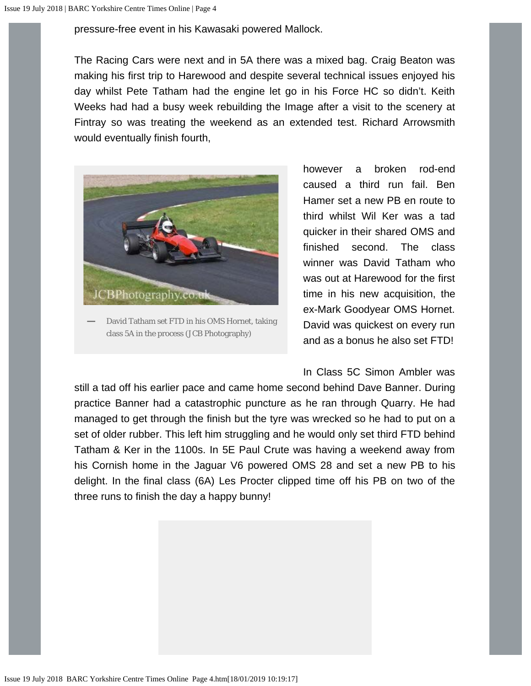pressure-free event in his Kawasaki powered Mallock.

The Racing Cars were next and in 5A there was a mixed bag. Craig Beaton was making his first trip to Harewood and despite several technical issues enjoyed his day whilst Pete Tatham had the engine let go in his Force HC so didn't. Keith Weeks had had a busy week rebuilding the Image after a visit to the scenery at Fintray so was treating the weekend as an extended test. Richard Arrowsmith would eventually finish fourth,



David Tatham set FTD in his OMS Hornet, taking class 5A in the process (JCB Photography) **—**

however a broken rod-end caused a third run fail. Ben Hamer set a new PB en route to third whilst Wil Ker was a tad quicker in their shared OMS and finished second. The class winner was David Tatham who was out at Harewood for the first time in his new acquisition, the ex-Mark Goodyear OMS Hornet. David was quickest on every run and as a bonus he also set FTD!

In Class 5C Simon Ambler was

still a tad off his earlier pace and came home second behind Dave Banner. During practice Banner had a catastrophic puncture as he ran through Quarry. He had managed to get through the finish but the tyre was wrecked so he had to put on a set of older rubber. This left him struggling and he would only set third FTD behind Tatham & Ker in the 1100s. In 5E Paul Crute was having a weekend away from his Cornish home in the Jaguar V6 powered OMS 28 and set a new PB to his delight. In the final class (6A) Les Procter clipped time off his PB on two of the three runs to finish the day a happy bunny!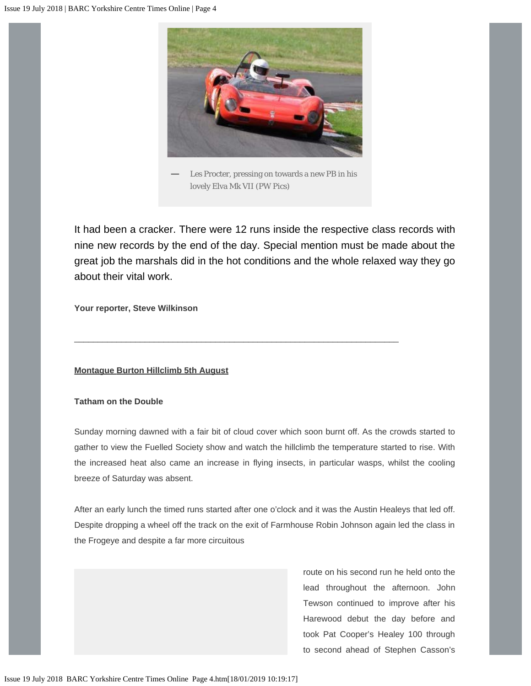

Les Procter, pressing on towards a new PB in his lovely Elva Mk VII (PW Pics) **—**

It had been a cracker. There were 12 runs inside the respective class records with nine new records by the end of the day. Special mention must be made about the great job the marshals did in the hot conditions and the whole relaxed way they go about their vital work.

\_\_\_\_\_\_\_\_\_\_\_\_\_\_\_\_\_\_\_\_\_\_\_\_\_\_\_\_\_\_\_\_\_\_\_\_\_\_\_\_\_\_\_\_\_\_\_\_\_\_\_\_\_\_\_\_\_\_\_\_\_\_\_\_\_\_\_\_\_

**Your reporter, Steve Wilkinson**

## **Montague Burton Hillclimb 5th August**

## **Tatham on the Double**

Sunday morning dawned with a fair bit of cloud cover which soon burnt off. As the crowds started to gather to view the Fuelled Society show and watch the hillclimb the temperature started to rise. With the increased heat also came an increase in flying insects, in particular wasps, whilst the cooling breeze of Saturday was absent.

After an early lunch the timed runs started after one o'clock and it was the Austin Healeys that led off. Despite dropping a wheel off the track on the exit of Farmhouse Robin Johnson again led the class in the Frogeye and despite a far more circuitous

> route on his second run he held onto the lead throughout the afternoon. John Tewson continued to improve after his Harewood debut the day before and took Pat Cooper's Healey 100 through to second ahead of Stephen Casson's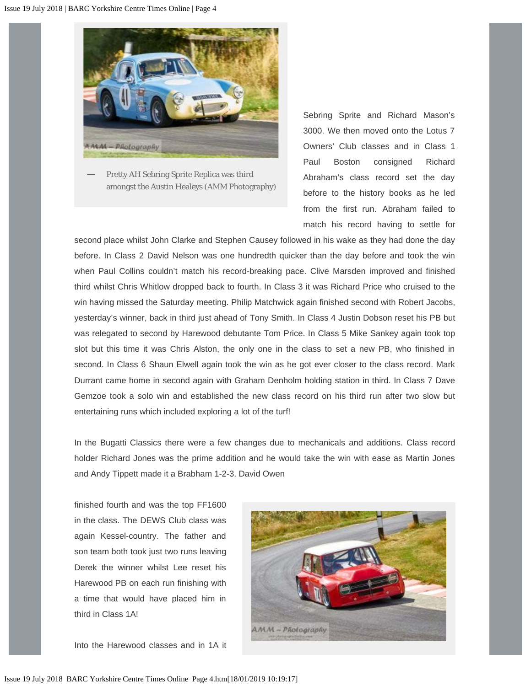

Pretty AH Sebring Sprite Replica was third amongst the Austin Healeys (AMM Photography) **—**

Sebring Sprite and Richard Mason's 3000. We then moved onto the Lotus 7 Owners' Club classes and in Class 1 Paul Boston consigned Richard Abraham's class record set the day before to the history books as he led from the first run. Abraham failed to match his record having to settle for

second place whilst John Clarke and Stephen Causey followed in his wake as they had done the day before. In Class 2 David Nelson was one hundredth quicker than the day before and took the win when Paul Collins couldn't match his record-breaking pace. Clive Marsden improved and finished third whilst Chris Whitlow dropped back to fourth. In Class 3 it was Richard Price who cruised to the win having missed the Saturday meeting. Philip Matchwick again finished second with Robert Jacobs, yesterday's winner, back in third just ahead of Tony Smith. In Class 4 Justin Dobson reset his PB but was relegated to second by Harewood debutante Tom Price. In Class 5 Mike Sankey again took top slot but this time it was Chris Alston, the only one in the class to set a new PB, who finished in second. In Class 6 Shaun Elwell again took the win as he got ever closer to the class record. Mark Durrant came home in second again with Graham Denholm holding station in third. In Class 7 Dave Gemzoe took a solo win and established the new class record on his third run after two slow but entertaining runs which included exploring a lot of the turf!

In the Bugatti Classics there were a few changes due to mechanicals and additions. Class record holder Richard Jones was the prime addition and he would take the win with ease as Martin Jones and Andy Tippett made it a Brabham 1-2-3. David Owen

finished fourth and was the top FF1600 in the class. The DEWS Club class was again Kessel-country. The father and son team both took just two runs leaving Derek the winner whilst Lee reset his Harewood PB on each run finishing with a time that would have placed him in third in Class 1A!



Into the Harewood classes and in 1A it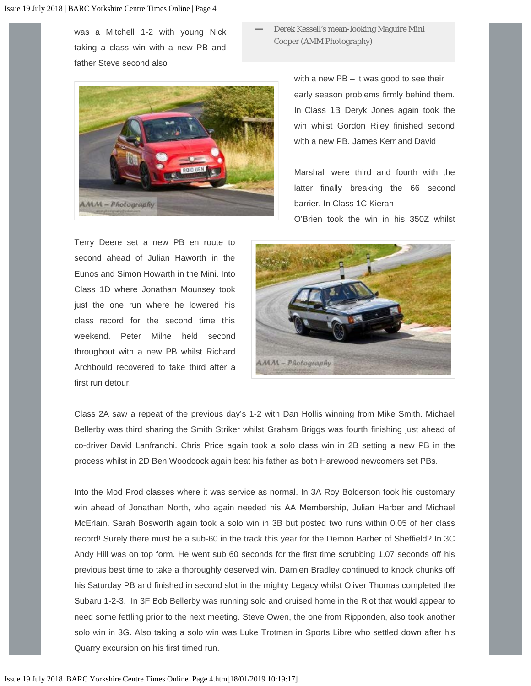was a Mitchell 1-2 with young Nick taking a class win with a new PB and father Steve second also



Derek Kessell's mean-looking Maguire Mini Cooper (AMM Photography)

> with a new PB – it was good to see their early season problems firmly behind them. In Class 1B Deryk Jones again took the win whilst Gordon Riley finished second with a new PB. James Kerr and David

> Marshall were third and fourth with the latter finally breaking the 66 second barrier. In Class 1C Kieran O'Brien took the win in his 350Z whilst

Terry Deere set a new PB en route to second ahead of Julian Haworth in the Eunos and Simon Howarth in the Mini. Into Class 1D where Jonathan Mounsey took just the one run where he lowered his class record for the second time this weekend. Peter Milne held second throughout with a new PB whilst Richard Archbould recovered to take third after a first run detour!



Class 2A saw a repeat of the previous day's 1-2 with Dan Hollis winning from Mike Smith. Michael Bellerby was third sharing the Smith Striker whilst Graham Briggs was fourth finishing just ahead of co-driver David Lanfranchi. Chris Price again took a solo class win in 2B setting a new PB in the process whilst in 2D Ben Woodcock again beat his father as both Harewood newcomers set PBs.

**—**

Into the Mod Prod classes where it was service as normal. In 3A Roy Bolderson took his customary win ahead of Jonathan North, who again needed his AA Membership, Julian Harber and Michael McErlain. Sarah Bosworth again took a solo win in 3B but posted two runs within 0.05 of her class record! Surely there must be a sub-60 in the track this year for the Demon Barber of Sheffield? In 3C Andy Hill was on top form. He went sub 60 seconds for the first time scrubbing 1.07 seconds off his previous best time to take a thoroughly deserved win. Damien Bradley continued to knock chunks off his Saturday PB and finished in second slot in the mighty Legacy whilst Oliver Thomas completed the Subaru 1-2-3. In 3F Bob Bellerby was running solo and cruised home in the Riot that would appear to need some fettling prior to the next meeting. Steve Owen, the one from Ripponden, also took another solo win in 3G. Also taking a solo win was Luke Trotman in Sports Libre who settled down after his Quarry excursion on his first timed run.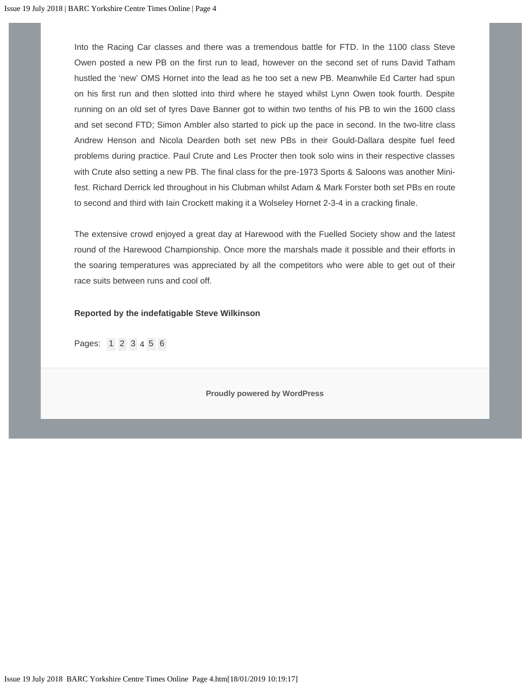Into the Racing Car classes and there was a tremendous battle for FTD. In the 1100 class Steve Owen posted a new PB on the first run to lead, however on the second set of runs David Tatham hustled the 'new' OMS Hornet into the lead as he too set a new PB. Meanwhile Ed Carter had spun on his first run and then slotted into third where he stayed whilst Lynn Owen took fourth. Despite running on an old set of tyres Dave Banner got to within two tenths of his PB to win the 1600 class and set second FTD; Simon Ambler also started to pick up the pace in second. In the two-litre class Andrew Henson and Nicola Dearden both set new PBs in their Gould-Dallara despite fuel feed problems during practice. Paul Crute and Les Procter then took solo wins in their respective classes with Crute also setting a new PB. The final class for the pre-1973 Sports & Saloons was another Minifest. Richard Derrick led throughout in his Clubman whilst Adam & Mark Forster both set PBs en route to second and third with Iain Crockett making it a Wolseley Hornet 2-3-4 in a cracking finale.

The extensive crowd enjoyed a great day at Harewood with the Fuelled Society show and the latest round of the Harewood Championship. Once more the marshals made it possible and their efforts in the soaring temperatures was appreciated by all the competitors who were able to get out of their race suits between runs and cool off.

### **Reported by the indefatigable Steve Wilkinson**

Pages: [1](http://barc-yorks.co.uk/?page_id=8144) [2](http://barc-yorks.co.uk/?page_id=8144&page=2) [3](http://barc-yorks.co.uk/?page_id=8144&page=3) 4 [5](http://barc-yorks.co.uk/?page_id=8144&page=5) [6](http://barc-yorks.co.uk/?page_id=8144&page=6)

**[Proudly powered by WordPress](http://wordpress.org/)**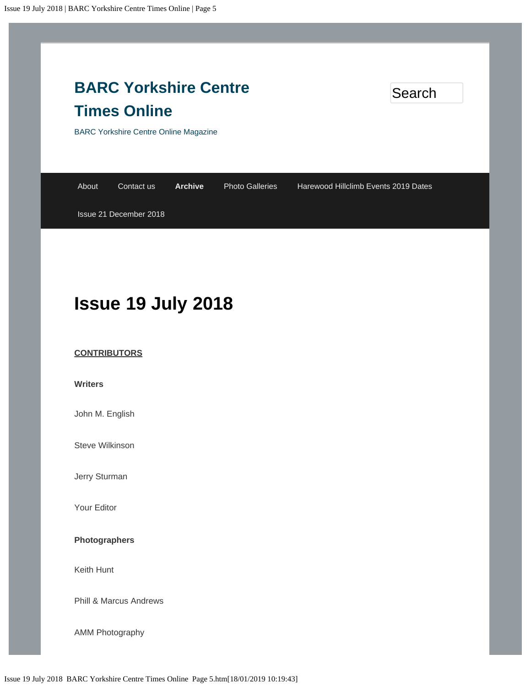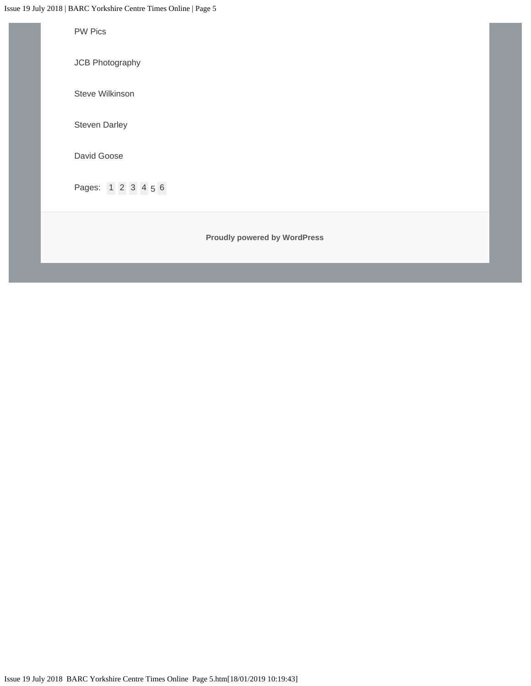Issue 19 July 2018 | BARC Yorkshire Centre Times Online | Page 5

| <b>PW Pics</b>     |                                     |
|--------------------|-------------------------------------|
| JCB Photography    |                                     |
| Steve Wilkinson    |                                     |
| Steven Darley      |                                     |
| David Goose        |                                     |
| Pages: 1 2 3 4 5 6 |                                     |
|                    | <b>Proudly powered by WordPress</b> |